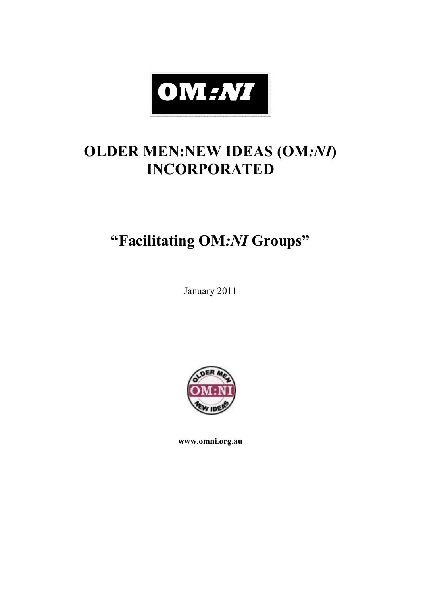

# **OLDER MEN:NEW IDEAS (OM***:NI***) INCORPORATED**

# **"Facilitating OM***:NI* **Groups"**

January 2011



**www.omni.org.au**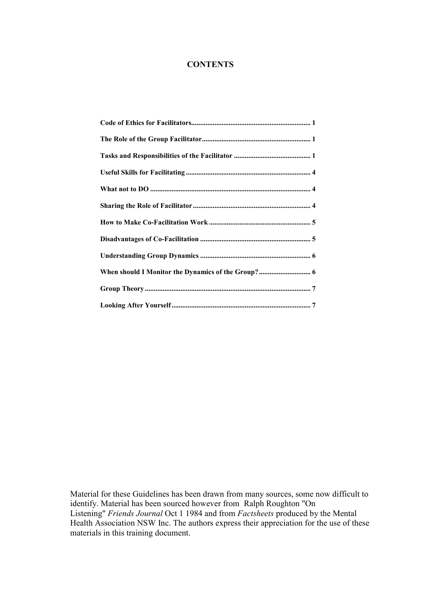#### **CONTENTS**

Material for these Guidelines has been drawn from many sources, some now difficult to identify. Material has been sourced however from Ralph Roughton "On Listening" *Friends Journal* Oct 1 1984 and from *Factsheets* produced by the Mental Health Association NSW Inc. The authors express their appreciation for the use of these materials in this training document.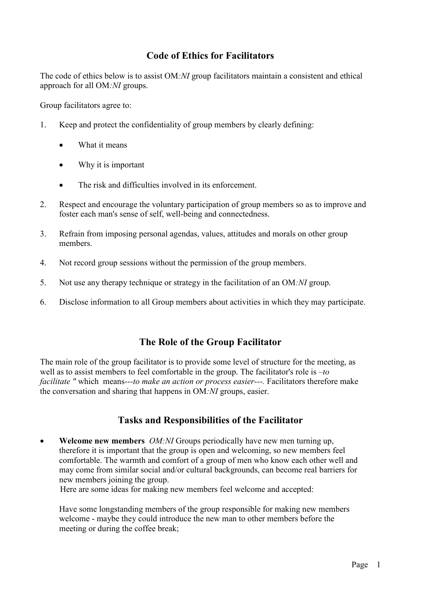## **Code of Ethics for Facilitators**

The code of ethics below is to assist OM*:NI* group facilitators maintain a consistent and ethical approach for all OM*:NI* groups.

Group facilitators agree to:

- 1. Keep and protect the confidentiality of group members by clearly defining:
	- What it means
	- Why it is important
	- The risk and difficulties involved in its enforcement.
- 2. Respect and encourage the voluntary participation of group members so as to improve and foster each man's sense of self, well-being and connectedness.
- 3. Refrain from imposing personal agendas, values, attitudes and morals on other group members.
- 4. Not record group sessions without the permission of the group members.
- 5. Not use any therapy technique or strategy in the facilitation of an OM*:NI* group.
- 6. Disclose information to all Group members about activities in which they may participate.

### **The Role of the Group Facilitator**

The main role of the group facilitator is to provide some level of structure for the meeting, as well as to assist members to feel comfortable in the group. The facilitator's role is *–to facilitate "* whichmeans*---to make an action or process easier---.* Facilitators therefore make the conversation and sharing that happens in OM*:NI* groups, easier.

### **Tasks and Responsibilities of the Facilitator**

• **Welcome new members** *OM:NI* Groups periodically have new men turning up, therefore it is important that the group is open and welcoming, so new members feel comfortable. The warmth and comfort of a group of men who know each other well and may come from similar social and/or cultural backgrounds, can become real barriers for new members joining the group.

Here are some ideas for making new members feel welcome and accepted:

Have some longstanding members of the group responsible for making new members welcome - maybe they could introduce the new man to other members before the meeting or during the coffee break;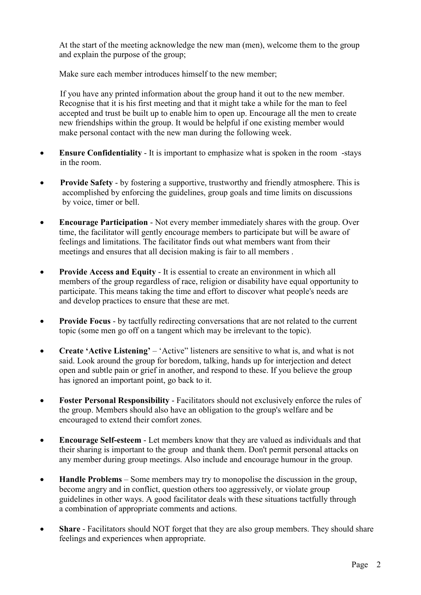At the start of the meeting acknowledge the new man (men), welcome them to the group and explain the purpose of the group;

Make sure each member introduces himself to the new member;

If you have any printed information about the group hand it out to the new member. Recognise that it is his first meeting and that it might take a while for the man to feel accepted and trust be built up to enable him to open up. Encourage all the men to create new friendships within the group. It would be helpful if one existing member would make personal contact with the new man during the following week.

- **Ensure Confidentiality**  It is important to emphasize what is spoken in the room -stays in the room.
- **Provide Safety** by fostering a supportive, trustworthy and friendly atmosphere. This is accomplished by enforcing the guidelines, group goals and time limits on discussions by voice, timer or bell.
- **Encourage Participation** Not every member immediately shares with the group. Over time, the facilitator will gently encourage members to participate but will be aware of feelings and limitations. The facilitator finds out what members want from their meetings and ensures that all decision making is fair to all members .
- **Provide Access and Equity**  It is essential to create an environment in which all members of the group regardless of race, religion or disability have equal opportunity to participate. This means taking the time and effort to discover what people's needs are and develop practices to ensure that these are met.
- **Provide Focus**  by tactfully redirecting conversations that are not related to the current topic (some men go off on a tangent which may be irrelevant to the topic).
- **Create 'Active Listening'** 'Active'' listeners are sensitive to what is, and what is not said. Look around the group for boredom, talking, hands up for interjection and detect open and subtle pain or grief in another, and respond to these. If you believe the group has ignored an important point, go back to it.
- **Foster Personal Responsibility**  Facilitators should not exclusively enforce the rules of the group. Members should also have an obligation to the group's welfare and be encouraged to extend their comfort zones.
- **Encourage Self-esteem**  Let members know that they are valued as individuals and that their sharing is important to the group and thank them. Don't permit personal attacks on any member during group meetings. Also include and encourage humour in the group.
- **Handle Problems**  Some members may try to monopolise the discussion in the group, become angry and in conflict, question others too aggressively, or violate group guidelines in other ways. A good facilitator deals with these situations tactfully through a combination of appropriate comments and actions.
- Share Facilitators should NOT forget that they are also group members. They should share feelings and experiences when appropriate.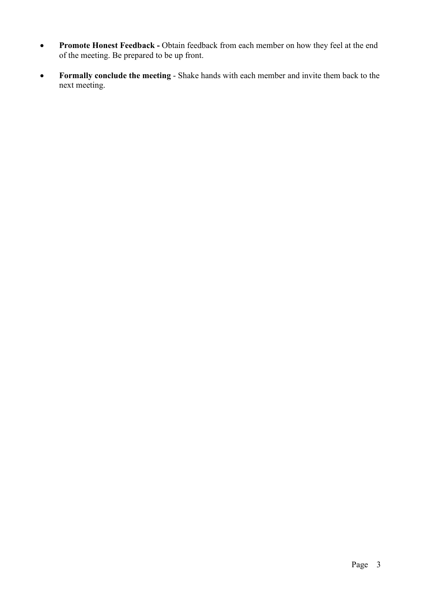- **Promote Honest Feedback** Obtain feedback from each member on how they feel at the end of the meeting. Be prepared to be up front.
- **Formally conclude the meeting**  Shake hands with each member and invite them back to the next meeting.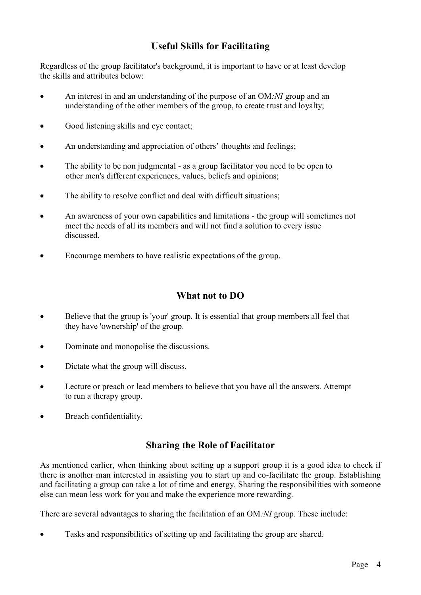# **Useful Skills for Facilitating**

Regardless of the group facilitator's background, it is important to have or at least develop the skills and attributes below:

- An interest in and an understanding of the purpose of an OM*:NI* group and an understanding of the other members of the group, to create trust and loyalty;
- Good listening skills and eye contact;
- An understanding and appreciation of others' thoughts and feelings;
- The ability to be non judgmental as a group facilitator you need to be open to other men's different experiences, values, beliefs and opinions;
- The ability to resolve conflict and deal with difficult situations;
- An awareness of your own capabilities and limitations the group will sometimes not meet the needs of all its members and will not find a solution to every issue discussed.
- Encourage members to have realistic expectations of the group.

## **What not to DO**

- Believe that the group is 'your' group. It is essential that group members all feel that they have 'ownership' of the group.
- Dominate and monopolise the discussions.
- Dictate what the group will discuss.
- Lecture or preach or lead members to believe that you have all the answers. Attempt to run a therapy group.
- Breach confidentiality.

# **Sharing the Role of Facilitator**

As mentioned earlier, when thinking about setting up a support group it is a good idea to check if there is another man interested in assisting you to start up and co-facilitate the group. Establishing and facilitating a group can take a lot of time and energy. Sharing the responsibilities with someone else can mean less work for you and make the experience more rewarding.

There are several advantages to sharing the facilitation of an OM*:NI* group. These include:

• Tasks and responsibilities of setting up and facilitating the group are shared.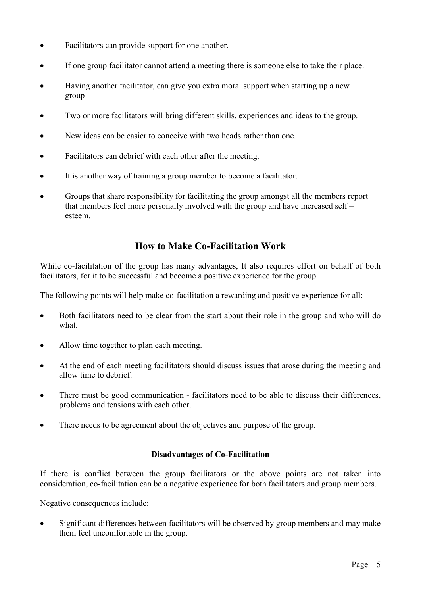- Facilitators can provide support for one another.
- If one group facilitator cannot attend a meeting there is someone else to take their place.
- Having another facilitator, can give you extra moral support when starting up a new group
- Two or more facilitators will bring different skills, experiences and ideas to the group.
- New ideas can be easier to conceive with two heads rather than one.
- Facilitators can debrief with each other after the meeting.
- It is another way of training a group member to become a facilitator.
- Groups that share responsibility for facilitating the group amongst all the members report that members feel more personally involved with the group and have increased self – esteem.

### **How to Make Co-Facilitation Work**

While co-facilitation of the group has many advantages, It also requires effort on behalf of both facilitators, for it to be successful and become a positive experience for the group.

The following points will help make co-facilitation a rewarding and positive experience for all:

- Both facilitators need to be clear from the start about their role in the group and who will do what.
- Allow time together to plan each meeting.
- At the end of each meeting facilitators should discuss issues that arose during the meeting and allow time to debrief.
- There must be good communication facilitators need to be able to discuss their differences, problems and tensions with each other.
- There needs to be agreement about the objectives and purpose of the group.

#### **Disadvantages of Co-Facilitation**

If there is conflict between the group facilitators or the above points are not taken into consideration, co-facilitation can be a negative experience for both facilitators and group members.

Negative consequences include:

• Significant differences between facilitators will be observed by group members and may make them feel uncomfortable in the group.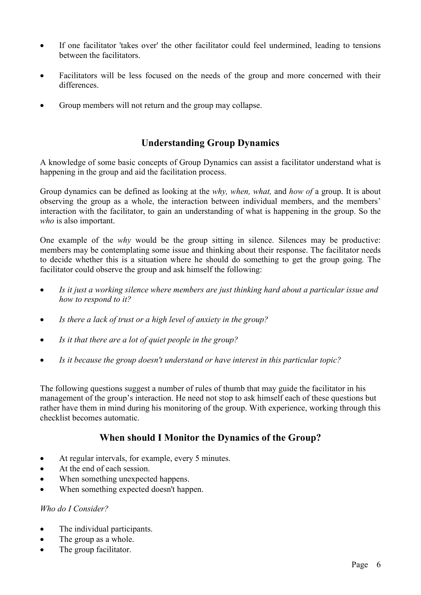- If one facilitator 'takes over' the other facilitator could feel undermined, leading to tensions between the facilitators.
- Facilitators will be less focused on the needs of the group and more concerned with their differences.
- Group members will not return and the group may collapse.

## **Understanding Group Dynamics**

A knowledge of some basic concepts of Group Dynamics can assist a facilitator understand what is happening in the group and aid the facilitation process.

Group dynamics can be defined as looking at the *why, when, what,* and *how of* a group. It is about observing the group as a whole, the interaction between individual members, and the members' interaction with the facilitator, to gain an understanding of what is happening in the group. So the *who* is also important.

One example of the *why* would be the group sitting in silence. Silences may be productive: members may be contemplating some issue and thinking about their response. The facilitator needs to decide whether this is a situation where he should do something to get the group going*.* The facilitator could observe the group and ask himself the following:

- *Is it just a working silence where members are just thinking hard about a particular issue and how to respond to it?*
- *Is there a lack of trust or a high level of anxiety in the group?*
- *Is it that there are a lot of quiet people in the group?*
- *Is it because the group doesn't understand or have interest in this particular topic?*

The following questions suggest a number of rules of thumb that may guide the facilitator in his management of the group's interaction. He need not stop to ask himself each of these questions but rather have them in mind during his monitoring of the group. With experience, working through this checklist becomes automatic.

# **When should I Monitor the Dynamics of the Group?**

- At regular intervals, for example, every 5 minutes.
- At the end of each session.
- When something unexpected happens.
- When something expected doesn't happen.

#### *Who do I Consider?*

- The individual participants.
- The group as a whole.
- The group facilitator.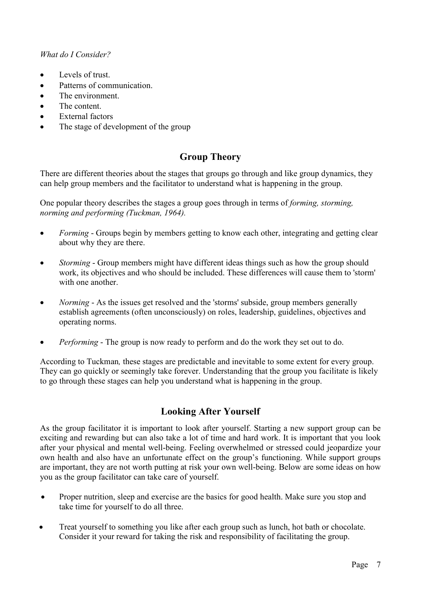#### *What do I Consider?*

- Levels of trust.
- Patterns of communication.
- The environment.
- The content.
- External factors
- The stage of development of the group

# **Group Theory**

There are different theories about the stages that groups go through and like group dynamics, they can help group members and the facilitator to understand what is happening in the group.

One popular theory describes the stages a group goes through in terms of *forming, storming, norming and performing (Tuckman, 1964).*

- *Forming* Groups begin by members getting to know each other, integrating and getting clear about why they are there.
- *Storming*  Group members might have different ideas things such as how the group should work, its objectives and who should be included. These differences will cause them to 'storm' with one another
- *Norming* As the issues get resolved and the 'storms' subside, group members generally establish agreements (often unconsciously) on roles, leadership, guidelines, objectives and operating norms.
- *Performing*  The group is now ready to perform and do the work they set out to do.

According to Tuckman*,* these stages are predictable and inevitable to some extent for every group. They can go quickly or seemingly take forever. Understanding that the group you facilitate is likely to go through these stages can help you understand what is happening in the group.

# **Looking After Yourself**

As the group facilitator it is important to look after yourself. Starting a new support group can be exciting and rewarding but can also take a lot of time and hard work. It is important that you look after your physical and mental well-being. Feeling overwhelmed or stressed could jeopardize your own health and also have an unfortunate effect on the group's functioning. While support groups are important, they are not worth putting at risk your own well-being. Below are some ideas on how you as the group facilitator can take care of yourself.

- Proper nutrition, sleep and exercise are the basics for good health. Make sure you stop and take time for yourself to do all three.
- Treat yourself to something you like after each group such as lunch, hot bath or chocolate. Consider it your reward for taking the risk and responsibility of facilitating the group.